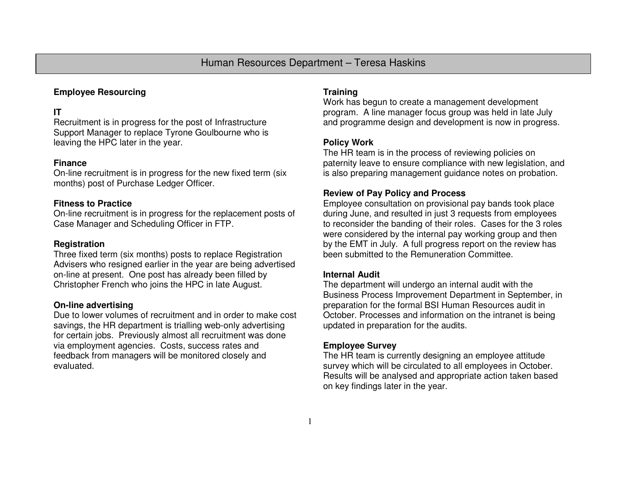# Human Resources Department – Teresa Haskins

# **Employee Resourcing**

# **IT**

 Recruitment is in progress for the post of Infrastructure Support Manager to replace Tyrone Goulbourne who isleaving the HPC later in the year.

#### **Finance**

 On-line recruitment is in progress for the new fixed term (six months) post of Purchase Ledger Officer.

## **Fitness to Practice**

 On-line recruitment is in progress for the replacement posts of Case Manager and Scheduling Officer in FTP.

#### **Registration**

 Three fixed term (six months) posts to replace Registration Advisers who resigned earlier in the year are being advertised on-line at present. One post has already been filled by Christopher French who joins the HPC in late August.

## **On-line advertising**

 Due to lower volumes of recruitment and in order to make cost savings, the HR department is trialling web-only advertising for certain jobs. Previously almost all recruitment was done via employment agencies. Costs, success rates and feedback from managers will be monitored closely and evaluated.

#### **Training**

 Work has begun to create a management development program. A line manager focus group was held in late July and programme design and development is now in progress.

## **Policy Work**

 The HR team is in the process of reviewing policies on paternity leave to ensure compliance with new legislation, and is also preparing management guidance notes on probation.

#### **Review of Pay Policy and Process**

 Employee consultation on provisional pay bands took place during June, and resulted in just 3 requests from employees to reconsider the banding of their roles. Cases for the 3 roles were considered by the internal pay working group and then by the EMT in July. A full progress report on the review has been submitted to the Remuneration Committee.

#### **Internal Audit**

 The department will undergo an internal audit with the Business Process Improvement Department in September, in preparation for the formal BSI Human Resources audit in October. Processes and information on the intranet is being updated in preparation for the audits.

## **Employee Survey**

 The HR team is currently designing an employee attitude survey which will be circulated to all employees in October. Results will be analysed and appropriate action taken based on key findings later in the year.